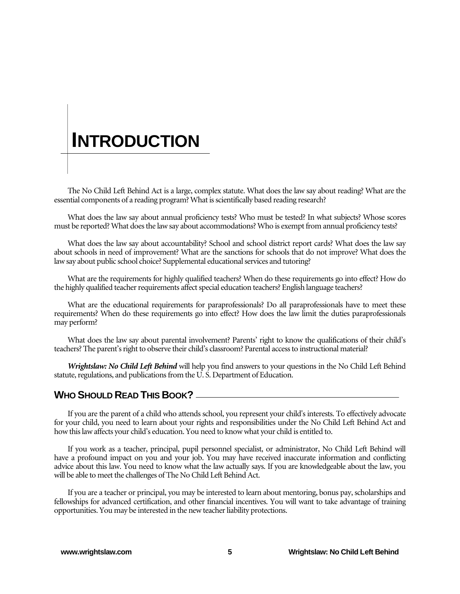### **INTRODUCTION**

 The No Child Left Behind Act is a large, complex statute. What does the law say about reading? What are the essential components of a reading program? What is scientifically based reading research?

 What does the law say about annual proficiency tests? Who must be tested? In what subjects? Whose scores must be reported? What does the law say about accommodations? Who is exempt from annual proficiency tests?

 What does the law say about accountability? School and school district report cards? What does the law say about schools in need of improvement? What are the sanctions for schools that do not improve? What does the law say about public school choice? Supplemental educational services and tutoring?

 What are the requirements for highly qualified teachers? When do these requirements go into effect? How do the highly qualified teacher requirements affect special education teachers? English language teachers?

 What are the educational requirements for paraprofessionals? Do all paraprofessionals have to meet these requirements? When do these requirements go into effect? How does the law limit the duties paraprofessionals may perform?

 What does the law say about parental involvement? Parents' right to know the qualifications of their child's teachers? The parent's right to observe their child's classroom? Parental access to instructional material?

 *Wrightslaw: No Child Left Behind* will help you find answers to your questions in the No Child Left Behind statute, regulations, and publications from the U. S. Department of Education.

### **WHO SHOULD READ THIS BOOK?**

 If you are the parent of a child who attends school, you represent your child's interests. To effectively advocate for your child, you need to learn about your rights and responsibilities under the No Child Left Behind Act and how this law affects your child's education. You need to know what your child is entitled to.

 If you work as a teacher, principal, pupil personnel specialist, or administrator, No Child Left Behind will have a profound impact on you and your job. You may have received inaccurate information and conflicting advice about this law. You need to know what the law actually says. If you are knowledgeable about the law, you will be able to meet the challenges of The No Child Left Behind Act.

 If you are a teacher or principal, you may be interested to learn about mentoring, bonus pay, scholarships and fellowships for advanced certification, and other financial incentives. You will want to take advantage of training opportunities. You may be interested in the new teacher liability protections.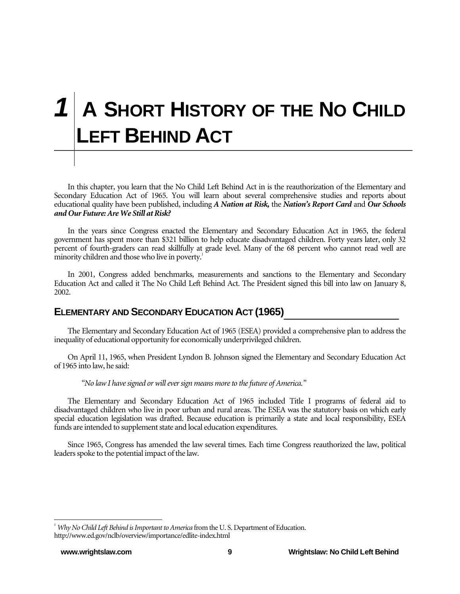### *1* **A SHORT HISTORY OF THE NO CHILD LEFT BEHIND ACT**

 In this chapter, you learn that the No Child Left Behind Act in is the reauthorization of the Elementary and Secondary Education Act of 1965. You will learn about several comprehensive studies and reports about educational quality have been published, including *A Nation at Risk,* the *Nation's Report Card* and *Our Schools and Our Future: Are We Still at Risk?*

 In the years since Congress enacted the Elementary and Secondary Education Act in 1965, the federal government has spent more than \$321 billion to help educate disadvantaged children. Forty years later, only 32 percent of fourth-graders can read skillfully at grade level. Many of the 68 percent who cannot read well are minority children and those who live in poverty.<sup>1</sup>

 In 2001, Congress added benchmarks, measurements and sanctions to the Elementary and Secondary Education Act and called it The No Child Left Behind Act. The President signed this bill into law on January 8, 2002.

### **ELEMENTARY AND SECONDARY EDUCATION ACT (1965)**

 The Elementary and Secondary Education Act of 1965 (ESEA) provided a comprehensive plan to address the inequality of educational opportunity for economically underprivileged children.

 On April 11, 1965, when President Lyndon B. Johnson signed the Elementary and Secondary Education Act of 1965 into law, he said:

 *"No law I have signed or will ever sign means more to the future of America."* 

 The Elementary and Secondary Education Act of 1965 included Title I programs of federal aid to disadvantaged children who live in poor urban and rural areas. The ESEA was the statutory basis on which early special education legislation was drafted. Because education is primarily a state and local responsibility, ESEA funds are intended to supplement state and local education expenditures.

 Since 1965, Congress has amended the law several times. Each time Congress reauthorized the law, political leaders spoke to the potential impact of the law.

 1 *Why No Child Left Behind is Important to America* from the U. S. Department of Education. http://www.ed.gov/nclb/overview/importance/edlite-index.html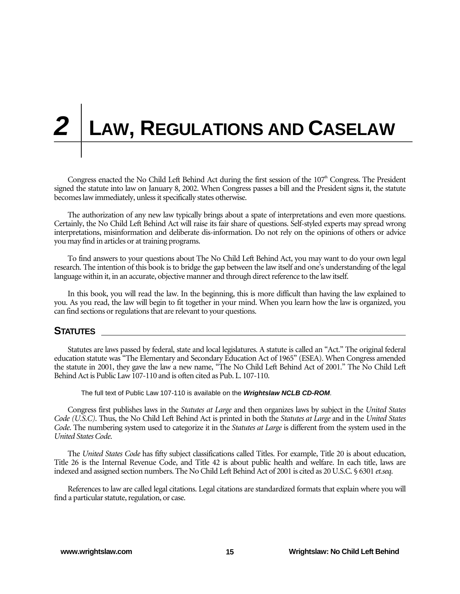# *2* **LAW, REGULATIONS AND CASELAW**

Congress enacted the No Child Left Behind Act during the first session of the  $107<sup>th</sup>$  Congress. The President signed the statute into law on January 8, 2002. When Congress passes a bill and the President signs it, the statute becomes law immediately, unless it specifically states otherwise.

 The authorization of any new law typically brings about a spate of interpretations and even more questions. Certainly, the No Child Left Behind Act will raise its fair share of questions. Self-styled experts may spread wrong interpretations, misinformation and deliberate dis-information. Do not rely on the opinions of others or advice you may find in articles or at training programs.

 To find answers to your questions about The No Child Left Behind Act, you may want to do your own legal research. The intention of this book is to bridge the gap between the law itself and one's understanding of the legal language within it, in an accurate, objective manner and through direct reference to the law itself.

 In this book, you will read the law. In the beginning, this is more difficult than having the law explained to you. As you read, the law will begin to fit together in your mind. When you learn how the law is organized, you can find sections or regulations that are relevant to your questions.

### **STATUTES**

 Statutes are laws passed by federal, state and local legislatures. A statute is called an "Act." The original federal education statute was "The Elementary and Secondary Education Act of 1965" (ESEA). When Congress amended the statute in 2001, they gave the law a new name, "The No Child Left Behind Act of 2001." The No Child Left Behind Act is Public Law 107-110 and is often cited as Pub. L. 107-110.

The full text of Public Law 107-110 is available on the *Wrightslaw NCLB CD-ROM*.

 Congress first publishes laws in the *Statutes at Large* and then organizes laws by subject in the *United States Code (U.S.C)*. Thus, the No Child Left Behind Act is printed in both the *Statutes at Large* and in the *United States Code*. The numbering system used to categorize it in the *Statutes at Large* is different from the system used in the *United States Code*.

 The *United States Code* has fifty subject classifications called Titles. For example, Title 20 is about education, Title 26 is the Internal Revenue Code, and Title 42 is about public health and welfare. In each title, laws are indexed and assigned section numbers. The No Child Left Behind Act of 2001 is cited as 20 U.S.C. § 6301 *et.seq*.

 References to law are called legal citations. Legal citations are standardized formats that explain where you will find a particular statute, regulation, or case.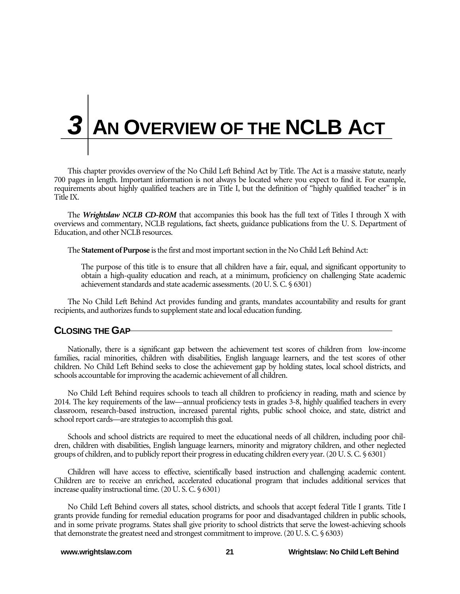## *3* **AN OVERVIEW OF THE NCLB ACT**

 This chapter provides overview of the No Child Left Behind Act by Title. The Act is a massive statute, nearly 700 pages in length. Important information is not always be located where you expect to find it. For example, requirements about highly qualified teachers are in Title I, but the definition of "highly qualified teacher" is in Title IX.

 The *Wrightslaw NCLB CD-ROM* that accompanies this book has the full text of Titles I through X with overviews and commentary, NCLB regulations, fact sheets, guidance publications from the U. S. Department of Education, and other NCLB resources.

The **Statement of Purpose** is the first and most important section in the No Child Left Behind Act:

The purpose of this title is to ensure that all children have a fair, equal, and significant opportunity to obtain a high-quality education and reach, at a minimum, proficiency on challenging State academic achievement standards and state academic assessments. (20 U. S. C. § 6301)

 The No Child Left Behind Act provides funding and grants, mandates accountability and results for grant recipients, and authorizes funds to supplement state and local education funding.

### **CLOSING THE GAP**

 Nationally, there is a significant gap between the achievement test scores of children from low-income families, racial minorities, children with disabilities, English language learners, and the test scores of other children. No Child Left Behind seeks to close the achievement gap by holding states, local school districts, and schools accountable for improving the academic achievement of all children.

 No Child Left Behind requires schools to teach all children to proficiency in reading, math and science by 2014. The key requirements of the law—annual proficiency tests in grades 3-8, highly qualified teachers in every classroom, research-based instruction, increased parental rights, public school choice, and state, district and school report cards—are strategies to accomplish this goal.

 Schools and school districts are required to meet the educational needs of all children, including poor children, children with disabilities, English language learners, minority and migratory children, and other neglected groups of children, and to publicly report their progress in educating children every year. (20 U. S. C. § 6301)

 Children will have access to effective, scientifically based instruction and challenging academic content. Children are to receive an enriched, accelerated educational program that includes additional services that increase quality instructional time. (20 U. S. C. § 6301)

 No Child Left Behind covers all states, school districts, and schools that accept federal Title I grants. Title I grants provide funding for remedial education programs for poor and disadvantaged children in public schools, and in some private programs. States shall give priority to school districts that serve the lowest-achieving schools that demonstrate the greatest need and strongest commitment to improve. (20 U. S. C. § 6303)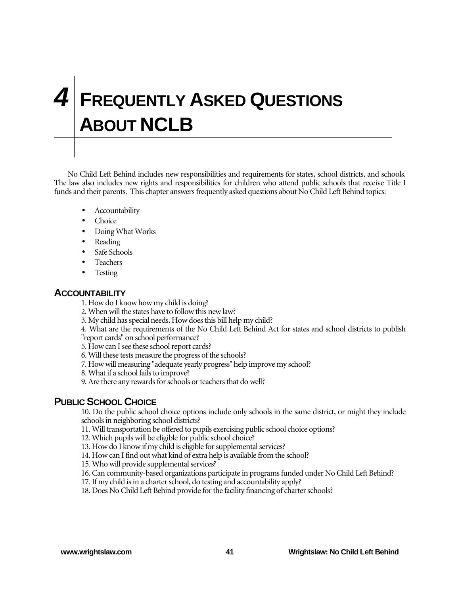### *4* **FREQUENTLY ASKED QUESTIONS ABOUT NCLB**

 No Child Left Behind includes new responsibilities and requirements for states, school districts, and schools. The law also includes new rights and responsibilities for children who attend public schools that receive Title I funds and their parents. This chapter answers frequently asked questions about No Child Left Behind topics:

- Accountability
- Choice
- Doing What Works
- Reading
- Safe Schools
- Teachers
- Testing

#### **ACCOUNTABILITY**

1. How do I know how my child is doing?

- 2. When will the states have to follow this new law?
- 3. My child has special needs. How does this bill help my child?

4. What are the requirements of the No Child Left Behind Act for states and school districts to publish "report cards" on school performance?

5. How can I see these school report cards?

- 6. Will these tests measure the progress of the schools?
- 7. How will measuring "adequate yearly progress" help improve my school?
- 8. What if a school fails to improve?
- 9. Are there any rewards for schools or teachers that do well?

### **PUBLIC SCHOOL CHOICE**

10. Do the public school choice options include only schools in the same district, or might they include schools in neighboring school districts?

11. Will transportation be offered to pupils exercising public school choice options?

12. Which pupils will be eligible for public school choice?

13. How do I know if my child is eligible for supplemental services?

14. How can I find out what kind of extra help is available from the school?

15. Who will provide supplemental services?

16. Can community-based organizations participate in programs funded under No Child Left Behind?

17. If my child is in a charter school, do testing and accountability apply?

18. Does No Child Left Behind provide for the facility financing of charter schools?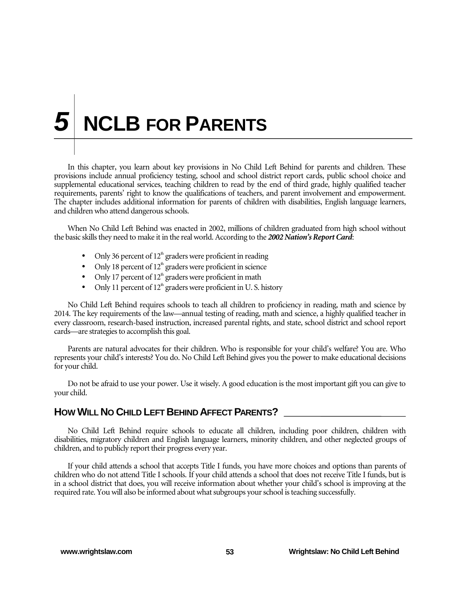*5* **NCLB FOR PARENTS** 

 In this chapter, you learn about key provisions in No Child Left Behind for parents and children. These provisions include annual proficiency testing, school and school district report cards, public school choice and supplemental educational services, teaching children to read by the end of third grade, highly qualified teacher requirements, parents' right to know the qualifications of teachers, and parent involvement and empowerment. The chapter includes additional information for parents of children with disabilities, English language learners, and children who attend dangerous schools.

 When No Child Left Behind was enacted in 2002, millions of children graduated from high school without the basic skills they need to make it in the real world. According to the *2002 Nation's Report Card*:

- Only 36 percent of  $12<sup>th</sup>$  graders were proficient in reading
- Only 18 percent of  $12<sup>th</sup>$  graders were proficient in science
- Only 17 percent of  $12<sup>th</sup>$  graders were proficient in math
- Only 11 percent of  $12<sup>th</sup>$  graders were proficient in U. S. history

 No Child Left Behind requires schools to teach all children to proficiency in reading, math and science by 2014. The key requirements of the law—annual testing of reading, math and science, a highly qualified teacher in every classroom, research-based instruction, increased parental rights, and state, school district and school report cards—are strategies to accomplish this goal.

 Parents are natural advocates for their children. Who is responsible for your child's welfare? You are. Who represents your child's interests? You do. No Child Left Behind gives you the power to make educational decisions for your child.

 Do not be afraid to use your power. Use it wisely. A good education is the most important gift you can give to your child.

#### **HOW WILL NO CHILD LEFT BEHIND AFFECT PARENTS?**

 No Child Left Behind require schools to educate all children, including poor children, children with disabilities, migratory children and English language learners, minority children, and other neglected groups of children, and to publicly report their progress every year.

 If your child attends a school that accepts Title I funds, you have more choices and options than parents of children who do not attend Title I schools. If your child attends a school that does not receive Title I funds, but is in a school district that does, you will receive information about whether your child's school is improving at the required rate. You will also be informed about what subgroups your school is teaching successfully.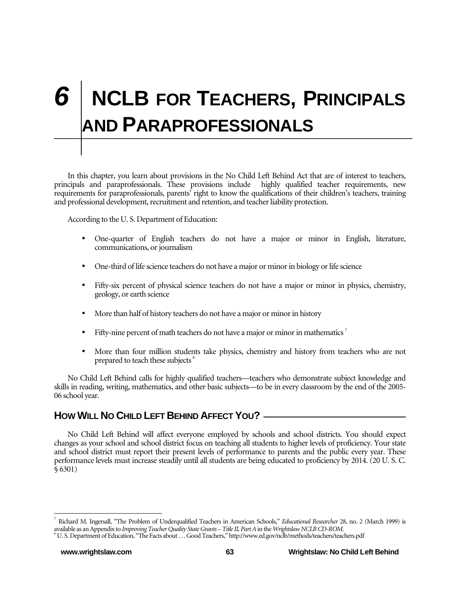### *6* **NCLB FOR TEACHERS, PRINCIPALS AND PARAPROFESSIONALS**

 In this chapter, you learn about provisions in the No Child Left Behind Act that are of interest to teachers, principals and paraprofessionals. These provisions include highly qualified teacher requirements, new requirements for paraprofessionals, parents' right to know the qualifications of their children's teachers, training and professional development, recruitment and retention, and teacher liability protection.

According to the U. S. Department of Education:

- One-quarter of English teachers do not have a major or minor in English, literature, communications, or journalism
- One-third of life science teachers do not have a major or minor in biology or life science
- Fifty-six percent of physical science teachers do not have a major or minor in physics, chemistry, geology, or earth science
- More than half of history teachers do not have a major or minor in history
- Fifty-nine percent of math teachers do not have a major or minor in mathematics  $\overline{a}$
- More than four million students take physics, chemistry and history from teachers who are not prepared to teach these subjects<sup>8</sup>

 No Child Left Behind calls for highly qualified teachers—teachers who demonstrate subject knowledge and skills in reading, writing, mathematics, and other basic subjects—to be in every classroom by the end of the 2005- 06 school year.

### **HOW WILL NO CHILD LEFT BEHIND AFFECT YOU?**

 No Child Left Behind will affect everyone employed by schools and school districts. You should expect changes as your school and school district focus on teaching all students to higher levels of proficiency. Your state and school district must report their present levels of performance to parents and the public every year. These performance levels must increase steadily until all students are being educated to proficiency by 2014. (20 U. S. C. § 6301)

 $\overline{a}$ 

<sup>7</sup> Richard M. Ingersall, "The Problem of Underqualified Teachers in American Schools," *Educational Researcher* 28, no. 2 (March 1999) is available as an Appendix to *Improving Teacher Quality State Grants – Title II, Part A* in the *Wrightslaw NCLB CD-ROM.* 

U. S. Department of Education, "The Facts about . . . Good Teachers," http://www.ed.gov/nclb/methods/teachers/teachers.pdf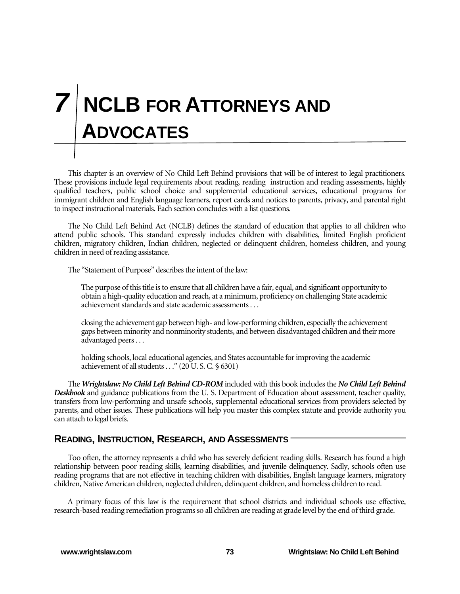### *7* **NCLB FOR ATTORNEYS AND ADVOCATES**

 This chapter is an overview of No Child Left Behind provisions that will be of interest to legal practitioners. These provisions include legal requirements about reading, reading instruction and reading assessments, highly qualified teachers, public school choice and supplemental educational services, educational programs for immigrant children and English language learners, report cards and notices to parents, privacy, and parental right to inspect instructional materials. Each section concludes with a list questions.

 The No Child Left Behind Act (NCLB) defines the standard of education that applies to all children who attend public schools. This standard expressly includes children with disabilities, limited English proficient children, migratory children, Indian children, neglected or delinquent children, homeless children, and young children in need of reading assistance.

The "Statement of Purpose" describes the intent of the law:

The purpose of this title is to ensure that all children have a fair, equal, and significant opportunity to obtain a high-quality education and reach, at a minimum, proficiency on challenging State academic achievement standards and state academic assessments . . .

closing the achievement gap between high- and low-performing children, especially the achievement gaps between minority and nonminority students, and between disadvantaged children and their more advantaged peers . . .

holding schools, local educational agencies, and States accountable for improving the academic achievement of all students . . ." (20 U. S. C. § 6301)

 The *Wrightslaw: No Child Left Behind CD-ROM* included with this book includes the *No Child Left Behind Deskbook* and guidance publications from the U. S. Department of Education about assessment, teacher quality, transfers from low-performing and unsafe schools, supplemental educational services from providers selected by parents, and other issues. These publications will help you master this complex statute and provide authority you can attach to legal briefs.

### **READING, INSTRUCTION, RESEARCH, AND ASSESSMENTS**

 Too often, the attorney represents a child who has severely deficient reading skills. Research has found a high relationship between poor reading skills, learning disabilities, and juvenile delinquency. Sadly, schools often use reading programs that are not effective in teaching children with disabilities, English language learners, migratory children, Native American children, neglected children, delinquent children, and homeless children to read.

 A primary focus of this law is the requirement that school districts and individual schools use effective, research-based reading remediation programs so all children are reading at grade level by the end of third grade.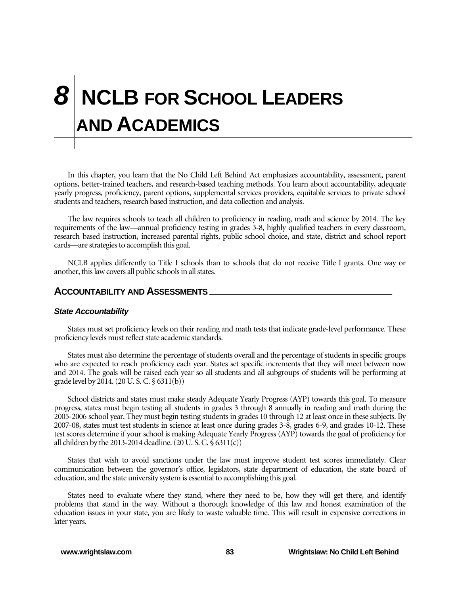### *8* **NCLB FOR SCHOOL LEADERS AND ACADEMICS**

 In this chapter, you learn that the No Child Left Behind Act emphasizes accountability, assessment, parent options, better-trained teachers, and research-based teaching methods. You learn about accountability, adequate yearly progress, proficiency, parent options, supplemental services providers, equitable services to private school students and teachers, research based instruction, and data collection and analysis.

 The law requires schools to teach all children to proficiency in reading, math and science by 2014. The key requirements of the law—annual proficiency testing in grades 3-8, highly qualified teachers in every classroom, research based instruction, increased parental rights, public school choice, and state, district and school report cards—are strategies to accomplish this goal.

 NCLB applies differently to Title I schools than to schools that do not receive Title I grants. One way or another, this law covers all public schools in all states.

#### **ACCOUNTABILITY AND ASSESSMENTS**

#### *State Accountability*

 States must set proficiency levels on their reading and math tests that indicate grade-level performance. These proficiency levels must reflect state academic standards.

 States must also determine the percentage of students overall and the percentage of students in specific groups who are expected to reach proficiency each year. States set specific increments that they will meet between now and 2014. The goals will be raised each year so all students and all subgroups of students will be performing at grade level by 2014. (20 U. S. C. § 6311(b))

 School districts and states must make steady Adequate Yearly Progress (AYP) towards this goal. To measure progress, states must begin testing all students in grades 3 through 8 annually in reading and math during the 2005-2006 school year. They must begin testing students in grades 10 through 12 at least once in these subjects. By 2007-08, states must test students in science at least once during grades 3-8, grades 6-9, and grades 10-12. These test scores determine if your school is making Adequate Yearly Progress (AYP) towards the goal of proficiency for all children by the 2013-2014 deadline. (20 U. S. C. § 6311(c))

 States that wish to avoid sanctions under the law must improve student test scores immediately. Clear communication between the governor's office, legislators, state department of education, the state board of education, and the state university system is essential to accomplishing this goal.

 States need to evaluate where they stand, where they need to be, how they will get there, and identify problems that stand in the way. Without a thorough knowledge of this law and honest examination of the education issues in your state, you are likely to waste valuable time. This will result in expensive corrections in later years.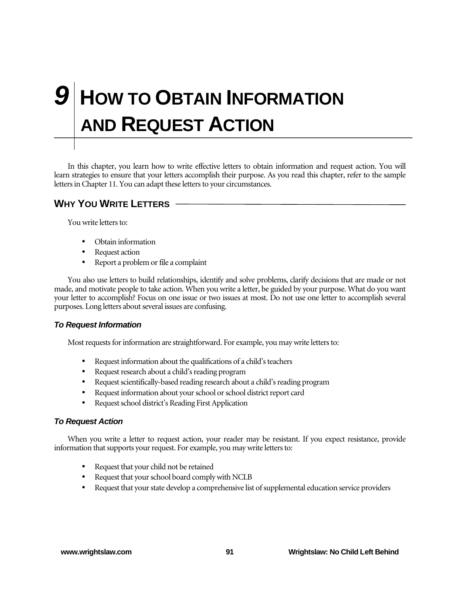### *9* **HOW TO OBTAIN INFORMATION AND REQUEST ACTION**

 In this chapter, you learn how to write effective letters to obtain information and request action. You will learn strategies to ensure that your letters accomplish their purpose. As you read this chapter, refer to the sample letters in Chapter 11. You can adapt these letters to your circumstances.

### **WHY YOU WRITE LETTERS**

You write letters to:

- Obtain information
- Request action
- Report a problem or file a complaint

 You also use letters to build relationships, identify and solve problems, clarify decisions that are made or not made, and motivate people to take action. When you write a letter, be guided by your purpose. What do you want your letter to accomplish? Focus on one issue or two issues at most. Do not use one letter to accomplish several purposes. Long letters about several issues are confusing.

#### *To Request Information*

Most requests for information are straightforward. For example, you may write letters to:

- Request information about the qualifications of a child's teachers
- Request research about a child's reading program
- Request scientifically-based reading research about a child's reading program
- Request information about your school or school district report card
- Request school district's Reading First Application

#### *To Request Action*

When you write a letter to request action, your reader may be resistant. If you expect resistance, provide information that supports your request. For example, you may write letters to:

- Request that your child not be retained
- Request that your school board comply with NCLB
- Request that your state develop a comprehensive list of supplemental education service providers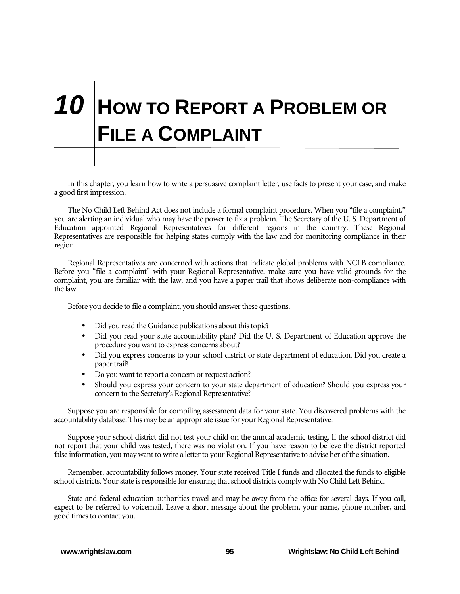## **10 HOW TO REPORT A PROBLEM OR FILE A COMPLAINT**

 In this chapter, you learn how to write a persuasive complaint letter, use facts to present your case, and make a good first impression.

 The No Child Left Behind Act does not include a formal complaint procedure. When you "file a complaint," you are alerting an individual who may have the power to fix a problem. The Secretary of the U. S. Department of Education appointed Regional Representatives for different regions in the country. These Regional Representatives are responsible for helping states comply with the law and for monitoring compliance in their region.

 Regional Representatives are concerned with actions that indicate global problems with NCLB compliance. Before you "file a complaint" with your Regional Representative, make sure you have valid grounds for the complaint, you are familiar with the law, and you have a paper trail that shows deliberate non-compliance with the law.

Before you decide to file a complaint, you should answer these questions.

- Did you read the Guidance publications about this topic?
- Did you read your state accountability plan? Did the U.S. Department of Education approve the procedure you want to express concerns about?
- Did you express concerns to your school district or state department of education. Did you create a paper trail?
- Do you want to report a concern or request action?
- Should you express your concern to your state department of education? Should you express your concern to the Secretary's Regional Representative?

 Suppose you are responsible for compiling assessment data for your state. You discovered problems with the accountability database. This may be an appropriate issue for your Regional Representative.

 Suppose your school district did not test your child on the annual academic testing. If the school district did not report that your child was tested, there was no violation. If you have reason to believe the district reported false information, you may want to write a letter to your Regional Representative to advise her of the situation.

 Remember, accountability follows money. Your state received Title I funds and allocated the funds to eligible school districts. Your state is responsible for ensuring that school districts comply with No Child Left Behind.

 State and federal education authorities travel and may be away from the office for several days. If you call, expect to be referred to voicemail. Leave a short message about the problem, your name, phone number, and good times to contact you.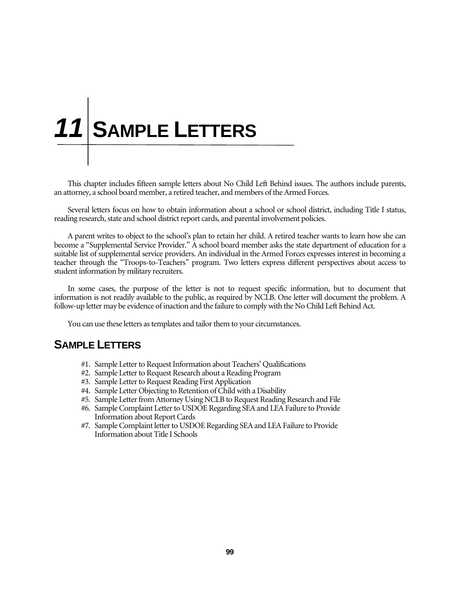## *11* **SAMPLE LETTERS**

 This chapter includes fifteen sample letters about No Child Left Behind issues. The authors include parents, an attorney, a school board member, a retired teacher, and members of the Armed Forces.

 Several letters focus on how to obtain information about a school or school district, including Title I status, reading research, state and school district report cards, and parental involvement policies.

 A parent writes to object to the school's plan to retain her child. A retired teacher wants to learn how she can become a "Supplemental Service Provider." A school board member asks the state department of education for a suitable list of supplemental service providers. An individual in the Armed Forces expresses interest in becoming a teacher through the "Troops-to-Teachers" program. Two letters express different perspectives about access to student information by military recruiters.

 In some cases, the purpose of the letter is not to request specific information, but to document that information is not readily available to the public, as required by NCLB. One letter will document the problem. A follow-up letter may be evidence of inaction and the failure to comply with the No Child Left Behind Act.

You can use these letters as templates and tailor them to your circumstances.

### **SAMPLE LETTERS**

- #1. Sample Letter to Request Information about Teachers' Qualifications
- #2. Sample Letter to Request Research about a Reading Program
- #3. Sample Letter to Request Reading First Application
- #4. Sample Letter Objecting to Retention of Child with a Disability
- #5. Sample Letter from Attorney Using NCLB to Request Reading Research and File
- #6. Sample Complaint Letter to USDOE Regarding SEA and LEA Failure to Provide Information about Report Cards
- #7. Sample Complaint letter to USDOE Regarding SEA and LEA Failure to Provide Information about Title I Schools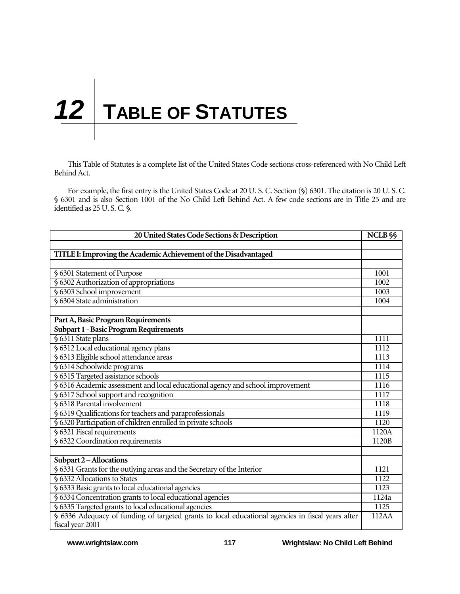# *12* **TABLE OF STATUTES**

 This Table of Statutes is a complete list of the United States Code sections cross-referenced with No Child Left Behind Act.

 For example, the first entry is the United States Code at 20 U. S. C. Section (§) 6301. The citation is 20 U. S. C. § 6301 and is also Section 1001 of the No Child Left Behind Act. A few code sections are in Title 25 and are identified as 25 U. S. C. §.

| 20 United States Code Sections & Description                                                      | NCLB §§ |
|---------------------------------------------------------------------------------------------------|---------|
|                                                                                                   |         |
| TITLE I: Improving the Academic Achievement of the Disadvantaged                                  |         |
|                                                                                                   |         |
| § 6301 Statement of Purpose                                                                       | 1001    |
| § 6302 Authorization of appropriations                                                            | 1002    |
| § 6303 School improvement                                                                         | 1003    |
| § 6304 State administration                                                                       | 1004    |
|                                                                                                   |         |
| Part A, Basic Program Requirements                                                                |         |
| <b>Subpart 1 - Basic Program Requirements</b>                                                     |         |
| § 6311 State plans                                                                                | 1111    |
| § 6312 Local educational agency plans                                                             | 1112    |
| § 6313 Eligible school attendance areas                                                           | 1113    |
| § 6314 Schoolwide programs                                                                        | 1114    |
| § 6315 Targeted assistance schools                                                                | 1115    |
| § 6316 Academic assessment and local educational agency and school improvement                    | 1116    |
| § 6317 School support and recognition                                                             | 1117    |
| § 6318 Parental involvement                                                                       | 1118    |
| § 6319 Qualifications for teachers and paraprofessionals                                          | 1119    |
| § 6320 Participation of children enrolled in private schools                                      | 1120    |
| § 6321 Fiscal requirements                                                                        | 1120A   |
| § 6322 Coordination requirements                                                                  | 1120B   |
|                                                                                                   |         |
| Subpart 2-Allocations                                                                             |         |
| § 6331 Grants for the outlying areas and the Secretary of the Interior                            | 1121    |
| § 6332 Allocations to States                                                                      | 1122    |
| § 6333 Basic grants to local educational agencies                                                 | 1123    |
| § 6334 Concentration grants to local educational agencies                                         | 1124a   |
| § 6335 Targeted grants to local educational agencies                                              | 1125    |
| § 6336 Adequacy of funding of targeted grants to local educational agencies in fiscal years after | 112AA   |
| fiscal year 2001                                                                                  |         |